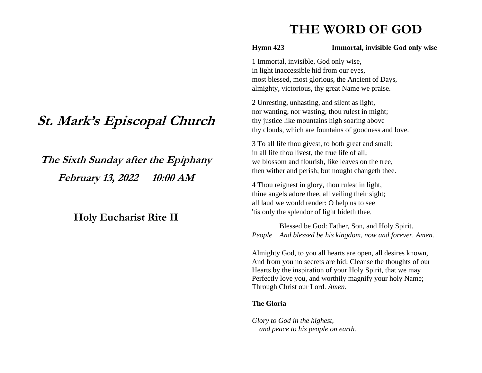# **THE WORD OF GOD**

**Hymn 423 Immortal, invisible God only wise**

1 Immortal, invisible, God only wise, in light inaccessible hid from our eyes, most blessed, most glorious, the Ancient of Days, almighty, victorious, thy great Name we praise.

2 Unresting, unhasting, and silent as light, nor wanting, nor wasting, thou rulest in might; thy justice like mountains high soaring above thy clouds, which are fountains of goodness and love.

3 To all life thou givest, to both great and small; in all life thou livest, the true life of all; we blossom and flourish, like leaves on the tree, then wither and perish; but nought changeth thee.

4 Thou reignest in glory, thou rulest in light, thine angels adore thee, all veiling their sight; all laud we would render: O help us to see 'tis only the splendor of light hideth thee.

Blessed be God: Father, Son, and Holy Spirit. *People And blessed be his kingdom, now and forever. Amen.*

Almighty God, to you all hearts are open, all desires known, And from you no secrets are hid: Cleanse the thoughts of our Hearts by the inspiration of your Holy Spirit, that we may Perfectly love you, and worthily magnify your holy Name; Through Christ our Lord. *Amen.*

# **The Gloria**

*Glory to God in the highest, and peace to his people on earth.*

# **St. Mark's Episcopal Church**

**The Sixth Sunday after the Epiphany February 13, 2022 10:00 AM**

**Holy Eucharist Rite II**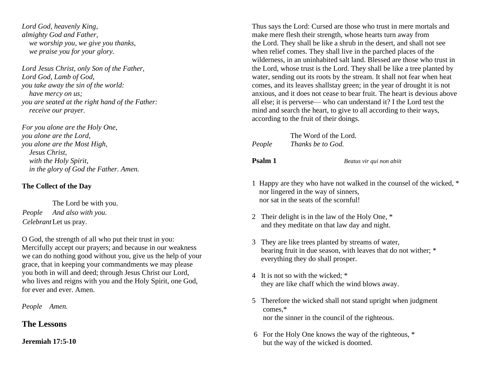*Lord God, heavenly King, almighty God and Father, we worship you, we give you thanks, we praise you for your glory.*

*Lord Jesus Christ, only Son of the Father, Lord God, Lamb of God, you take away the sin of the world: have mercy on us; you are seated at the right hand of the Father: receive our prayer.*

*For you alone are the Holy One, you alone are the Lord, you alone are the Most High, Jesus Christ, with the Holy Spirit, in the glory of God the Father. Amen.*

# **The Collect of the Day**

The Lord be with you. *People And also with you. Celebrant*Let us pray.

O God, the strength of all who put their trust in you: Mercifully accept our prayers; and because in our weakness we can do nothing good without you, give us the help of your grace, that in keeping your commandments we may please you both in will and deed; through Jesus Christ our Lord, who lives and reigns with you and the Holy Spirit, one God, for ever and ever. Amen.

*People Amen.*

**The Lessons**

**Jeremiah 17:5-10**

Thus says the Lord: Cursed are those who trust in mere mortals and make mere flesh their strength, whose hearts turn away from the Lord. They shall be like a shrub in the desert, and shall not see when relief comes. They shall live in the parched places of the wilderness, in an uninhabited salt land. Blessed are those who trust in the Lord, whose trust is the Lord. They shall be like a tree planted by water, sending out its roots by the stream. It shall not fear when heat comes, and its leaves shallstay green; in the year of drought it is not anxious, and it does not cease to bear fruit. The heart is devious above all else; it is perverse— who can understand it? I the Lord test the mind and search the heart, to give to all according to their ways, according to the fruit of their doings.

|        | The Word of the Lord. |
|--------|-----------------------|
| People | Thanks be to God.     |

**Psalm 1** *Beatus vir qui non abiit*

- 1 Happy are they who have not walked in the counsel of the wicked, \* nor lingered in the way of sinners, nor sat in the seats of the scornful!
- 2 Their delight is in the law of the Holy One, \* and they meditate on that law day and night.
- 3 They are like trees planted by streams of water, bearing fruit in due season, with leaves that do not wither; \* everything they do shall prosper.
- 4 It is not so with the wicked; \* they are like chaff which the wind blows away.
- 5 Therefore the wicked shall not stand upright when judgment comes,\* nor the sinner in the council of the righteous.
- 6 For the Holy One knows the way of the righteous, \* but the way of the wicked is doomed.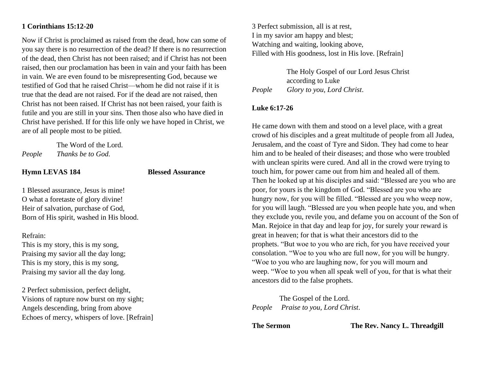### **1 Corinthians 15:12-20**

Now if Christ is proclaimed as raised from the dead, how can some of you say there is no resurrection of the dead? If there is no resurrection of the dead, then Christ has not been raised; and if Christ has not been raised, then our proclamation has been in vain and your faith has been in vain. We are even found to be misrepresenting God, because we testified of God that he raised Christ—whom he did not raise if it is true that the dead are not raised. For if the dead are not raised, then Christ has not been raised. If Christ has not been raised, your faith is futile and you are still in your sins. Then those also who have died in Christ have perished. If for this life only we have hoped in Christ, we are of all people most to be pitied.

 The Word of the Lord. *People Thanks be to God.*

### **Hymn LEVAS 184** Blessed Assurance

1 Blessed assurance, Jesus is mine! O what a foretaste of glory divine! Heir of salvation, purchase of God, Born of His spirit, washed in His blood.

### Refrain:

This is my story, this is my song, Praising my savior all the day long; This is my story, this is my song, Praising my savior all the day long.

2 Perfect submission, perfect delight, Visions of rapture now burst on my sight; Angels descending, bring from above Echoes of mercy, whispers of love. [Refrain]

3 Perfect submission, all is at rest, I in my savior am happy and blest; Watching and waiting, looking above, Filled with His goodness, lost in His love. [Refrain]

 The Holy Gospel of our Lord Jesus Christ according to Luke *People Glory to you, Lord Christ*.

### **Luke 6:17-26**

He came down with them and stood on a level place, with a great crowd of his disciples and a great multitude of people from all Judea, Jerusalem, and the coast of Tyre and Sidon. They had come to hear him and to be healed of their diseases; and those who were troubled with unclean spirits were cured. And all in the crowd were trying to touch him, for power came out from him and healed all of them. Then he looked up at his disciples and said: "Blessed are you who are poor, for yours is the kingdom of God. "Blessed are you who are hungry now, for you will be filled. "Blessed are you who weep now, for you will laugh. "Blessed are you when people hate you, and when they exclude you, revile you, and defame you on account of the Son of Man. Rejoice in that day and leap for joy, for surely your reward is great in heaven; for that is what their ancestors did to the prophets. "But woe to you who are rich, for you have received your consolation. "Woe to you who are full now, for you will be hungry. "Woe to you who are laughing now, for you will mourn and weep. "Woe to you when all speak well of you, for that is what their ancestors did to the false prophets.

 The Gospel of the Lord. *People Praise to you, Lord Christ*.

**The Sermon The Rev. Nancy L. Threadgill**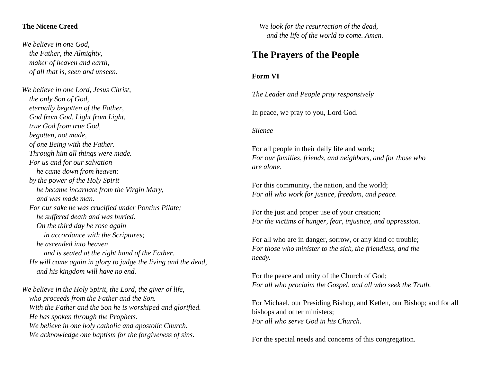# **The Nicene Creed**

*We believe in one God, the Father, the Almighty, maker of heaven and earth, of all that is, seen and unseen.*

*We believe in one Lord, Jesus Christ, the only Son of God, eternally begotten of the Father, God from God, Light from Light, true God from true God, begotten, not made, of one Being with the Father. Through him all things were made. For us and for our salvation he came down from heaven: by the power of the Holy Spirit he became incarnate from the Virgin Mary, and was made man. For our sake he was crucified under Pontius Pilate; he suffered death and was buried. On the third day he rose again in accordance with the Scriptures; he ascended into heaven and is seated at the right hand of the Father. He will come again in glory to judge the living and the dead, and his kingdom will have no end.*

*We believe in the Holy Spirit, the Lord, the giver of life, who proceeds from the Father and the Son. With the Father and the Son he is worshiped and glorified. He has spoken through the Prophets. We believe in one holy catholic and apostolic Church. We acknowledge one baptism for the forgiveness of sins.*

 *We look for the resurrection of the dead, and the life of the world to come. Amen.*

# **The Prayers of the People**

### **Form VI**

*The Leader and People pray responsively*

In peace, we pray to you, Lord God.

*Silence*

For all people in their daily life and work; *For our families, friends, and neighbors, and for those who are alone.*

For this community, the nation, and the world; *For all who work for justice, freedom, and peace.*

For the just and proper use of your creation; *For the victims of hunger, fear, injustice, and oppression.*

For all who are in danger, sorrow, or any kind of trouble; *For those who minister to the sick, the friendless, and the needy.*

For the peace and unity of the Church of God; *For all who proclaim the Gospel, and all who seek the Truth.*

For Michael*.* our Presiding Bishop, and Ketlen, our Bishop; and for all bishops and other ministers; *For all who serve God in his Church.*

For the special needs and concerns of this congregation.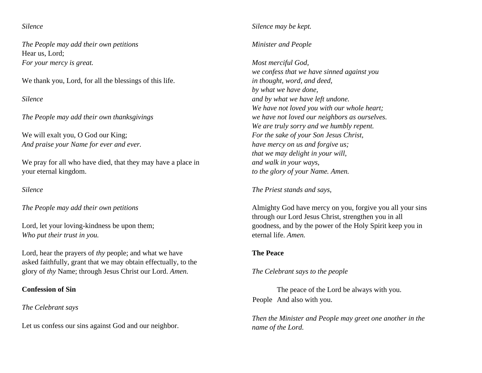### *Silence*

*The People may add their own petitions* Hear us, Lord; *For your mercy is great.*

We thank you, Lord, for all the blessings of this life.

*Silence*

*The People may add their own thanksgivings*

We will exalt you, O God our King; *And praise your Name for ever and ever.*

We pray for all who have died, that they may have a place in your eternal kingdom.

*Silence*

*The People may add their own petitions*

Lord, let your loving-kindness be upon them; *Who put their trust in you.*

Lord, hear the prayers of *thy* people; and what we have asked faithfully, grant that we may obtain effectually, to the glory of *thy* Name; through Jesus Christ our Lord. *Amen.*

### **Confession of Sin**

### *The Celebrant says*

Let us confess our sins against God and our neighbor.

### *Silence may be kept.*

### *Minister and People*

*Most merciful God, we confess that we have sinned against you in thought, word, and deed, by what we have done, and by what we have left undone. We have not loved you with our whole heart; we have not loved our neighbors as ourselves. We are truly sorry and we humbly repent. For the sake of your Son Jesus Christ, have mercy on us and forgive us; that we may delight in your will, and walk in your ways, to the glory of your Name. Amen.*

*The Priest stands and says,*

Almighty God have mercy on you, forgive you all your sins through our Lord Jesus Christ, strengthen you in all goodness, and by the power of the Holy Spirit keep you in eternal life. *Amen.*

### **The Peace**

### *The Celebrant says to the people*

 The peace of the Lord be always with you. People And also with you.

*Then the Minister and People may greet one another in the name of the Lord.*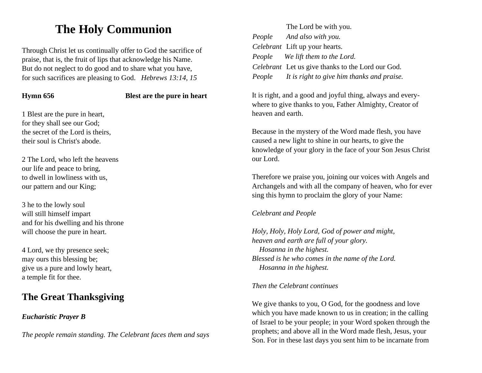# **The Holy Communion**

Through Christ let us continually offer to God the sacrifice of praise, that is, the fruit of lips that acknowledge his Name. But do not neglect to do good and to share what you have, for such sacrifices are pleasing to God. *Hebrews 13:14, 15*

# **Hymn 656** Blest are the pure in heart

1 Blest are the pure in heart, for they shall see our God; the secret of the Lord is theirs, their soul is Christ's abode.

2 The Lord, who left the heavens our life and peace to bring, to dwell in lowliness with us, our pattern and our King;

3 he to the lowly soul will still himself impart and for his dwelling and his throne will choose the pure in heart.

4 Lord, we thy presence seek; may ours this blessing be; give us a pure and lowly heart, a temple fit for thee.

# **The Great Thanksgiving**

# *Eucharistic Prayer B*

*The people remain standing. The Celebrant faces them and says*

| The Lord be with you.                             |
|---------------------------------------------------|
| People And also with you.                         |
| <i>Celebrant</i> Lift up your hearts.             |
| People We lift them to the Lord.                  |
| Celebrant Let us give thanks to the Lord our God. |
| People It is right to give him thanks and praise. |

It is right, and a good and joyful thing, always and everywhere to give thanks to you, Father Almighty, Creator of heaven and earth.

Because in the mystery of the Word made flesh, you have caused a new light to shine in our hearts, to give the knowledge of your glory in the face of your Son Jesus Christ our Lord.

Therefore we praise you, joining our voices with Angels and Archangels and with all the company of heaven, who for ever sing this hymn to proclaim the glory of your Name:

# *Celebrant and People*

*Holy, Holy, Holy Lord, God of power and might, heaven and earth are full of your glory. Hosanna in the highest. Blessed is he who comes in the name of the Lord. Hosanna in the highest.*

# *Then the Celebrant continues*

We give thanks to you, O God, for the goodness and love which you have made known to us in creation; in the calling of Israel to be your people; in your Word spoken through the prophets; and above all in the Word made flesh, Jesus, your Son. For in these last days you sent him to be incarnate from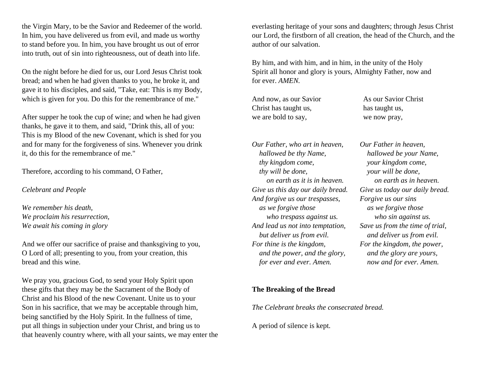the Virgin Mary, to be the Savior and Redeemer of the world. In him, you have delivered us from evil, and made us worthy to stand before you. In him, you have brought us out of error into truth, out of sin into righteousness, out of death into life.

On the night before he died for us, our Lord Jesus Christ took bread; and when he had given thanks to you, he broke it, and gave it to his disciples, and said, "Take, eat: This is my Body, which is given for you. Do this for the remembrance of me."

After supper he took the cup of wine; and when he had given thanks, he gave it to them, and said, "Drink this, all of you: This is my Blood of the new Covenant, which is shed for you and for many for the forgiveness of sins. Whenever you drink it, do this for the remembrance of me."

Therefore, according to his command, O Father,

### *Celebrant and People*

*We remember his death, We proclaim his resurrection, We await his coming in glory*

And we offer our sacrifice of praise and thanksgiving to you, O Lord of all; presenting to you, from your creation, this bread and this wine.

We pray you, gracious God, to send your Holy Spirit upon these gifts that they may be the Sacrament of the Body of Christ and his Blood of the new Covenant. Unite us to your Son in his sacrifice, that we may be acceptable through him, being sanctified by the Holy Spirit. In the fullness of time, put all things in subjection under your Christ, and bring us to that heavenly country where, with all your saints, we may enter the everlasting heritage of your sons and daughters; through Jesus Christ our Lord, the firstborn of all creation, the head of the Church, and the author of our salvation.

By him, and with him, and in him, in the unity of the Holy Spirit all honor and glory is yours, Almighty Father, now and for ever. *AMEN.*

And now, as our Savior Christ has taught us, we are bold to say,

*Our Father, who art in heaven, hallowed be thy Name, thy kingdom come, thy will be done, on earth as it is in heaven. Give us this day our daily bread. And forgive us our trespasses, as we forgive those who trespass against us. And lead us not into temptation, but deliver us from evil. For thine is the kingdom, and the power, and the glory, for ever and ever. Amen.*

As our Savior Christ has taught us, we now pray,

*Our Father in heaven, hallowed be your Name, your kingdom come, your will be done, on earth as in heaven. Give us today our daily bread. Forgive us our sins as we forgive those who sin against us. Save us from the time of trial, and deliver us from evil. For the kingdom, the power, and the glory are yours, now and for ever. Amen.*

# **The Breaking of the Bread**

*The Celebrant breaks the consecrated bread.*

A period of silence is kept*.*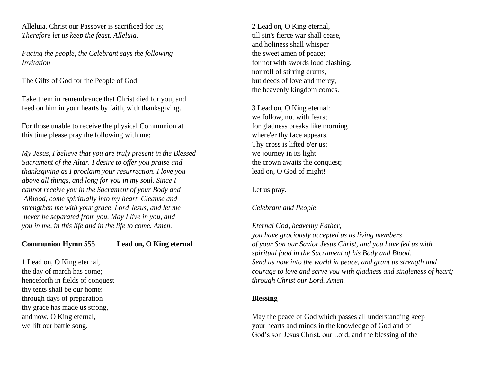Alleluia. Christ our Passover is sacrificed for us; *Therefore let us keep the feast. Alleluia.*

*Facing the people, the Celebrant says the following Invitation* 

The Gifts of God for the People of God.

Take them in remembrance that Christ died for you, and feed on him in your hearts by faith, with thanksgiving.

For those unable to receive the physical Communion at this time please pray the following with me:

*My Jesus, I believe that you are truly present in the Blessed Sacrament of the Altar. I desire to offer you praise and thanksgiving as I proclaim your resurrection. I love you above all things, and long for you in my soul. Since I cannot receive you in the Sacrament of your Body and ABlood, come spiritually into my heart. Cleanse and strengthen me with your grace, Lord Jesus, and let me never be separated from you. May I live in you, and you in me, in this life and in the life to come. Amen.*

# **Communion Hymn 555 Lead on, O King eternal**

1 Lead on, O King eternal, the day of march has come; henceforth in fields of conquest thy tents shall be our home: through days of preparation thy grace has made us strong, and now, O King eternal, we lift our battle song.

2 Lead on, O King eternal, till sin's fierce war shall cease, and holiness shall whisper the sweet amen of peace; for not with swords loud clashing, nor roll of stirring drums, but deeds of love and mercy, the heavenly kingdom comes.

3 Lead on, O King eternal: we follow, not with fears; for gladness breaks like morning where'er thy face appears. Thy cross is lifted o'er us; we journey in its light: the crown awaits the conquest; lead on, O God of might!

Let us pray.

# *Celebrant and People*

*Eternal God, heavenly Father, you have graciously accepted us as living members of your Son our Savior Jesus Christ, and you have fed us with spiritual food in the Sacrament of his Body and Blood. Send us now into the world in peace, and grant us strength and courage to love and serve you with gladness and singleness of heart; through Christ our Lord. Amen.*

### **Blessing**

May the peace of God which passes all understanding keep your hearts and minds in the knowledge of God and of God's son Jesus Christ, our Lord, and the blessing of the